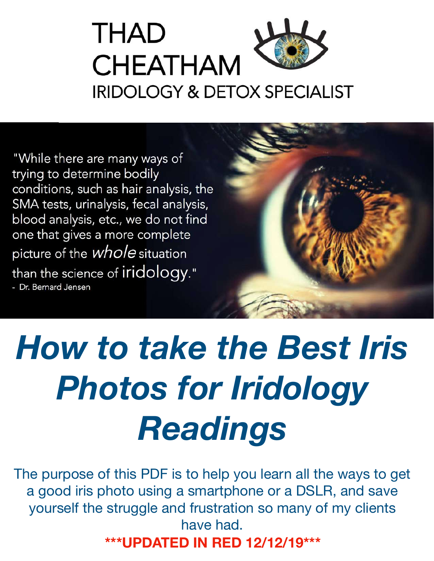

"While there are many ways of trying to determine bodily conditions, such as hair analysis, the SMA tests, urinalysis, fecal analysis, blood analysis, etc., we do not find one that gives a more complete picture of the *whole* situation than the science of iridology." - Dr. Bernard Jensen



# *How to take the Best Iris Photos for Iridology Readings*

The purpose of this PDF is to help you learn all the ways to get a good iris photo using a smartphone or a DSLR, and save yourself the struggle and frustration so many of my clients have had. **\*\*\*UPDATED IN RED 12/12/19\*\*\***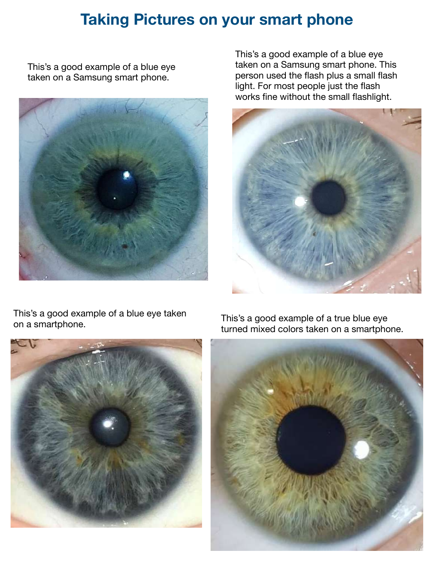## **Taking Pictures on your smart phone**

This's a good example of a blue eye taken on a Samsung smart phone.



This's a good example of a blue eye taken on a Samsung smart phone. This person used the flash plus a small flash light. For most people just the flash works fine without the small flashlight.



This's a good example of a blue eye taken This's a good example of a blue eye taken<br>on a smartphone.



turned mixed colors taken on a smartphone.

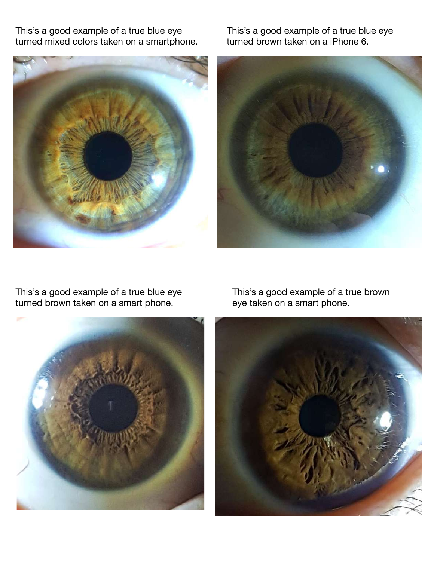This's a good example of a true blue eye turned mixed colors taken on a smartphone.



This's a good example of a true blue eye turned brown taken on a iPhone 6.



This's a good example of a true blue eye turned brown taken on a smart phone.



This's a good example of a true brown eye taken on a smart phone.

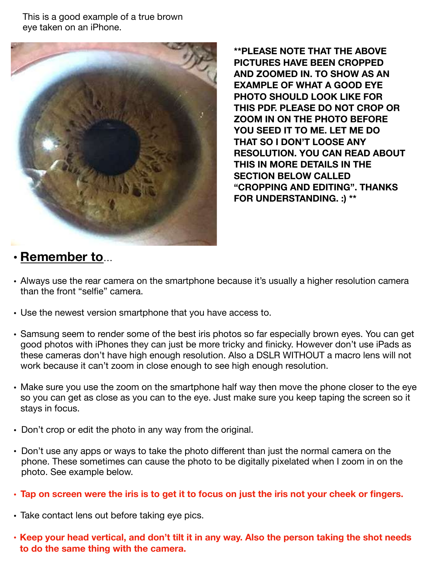This is a good example of a true brown eye taken on an iPhone.



**\*\*PLEASE NOTE THAT THE ABOVE PICTURES HAVE BEEN CROPPED AND ZOOMED IN. TO SHOW AS AN EXAMPLE OF WHAT A GOOD EYE PHOTO SHOULD LOOK LIKE FOR THIS PDF. PLEASE DO NOT CROP OR ZOOM IN ON THE PHOTO BEFORE YOU SEED IT TO ME. LET ME DO THAT SO I DON'T LOOSE ANY RESOLUTION. YOU CAN READ ABOUT THIS IN MORE DETAILS IN THE SECTION BELOW CALLED "CROPPING AND EDITING". THANKS FOR UNDERSTANDING. :) \*\***

## • **Remember to**…

- Always use the rear camera on the smartphone because it's usually a higher resolution camera than the front "selfie" camera.
- Use the newest version smartphone that you have access to.
- Samsung seem to render some of the best iris photos so far especially brown eyes. You can get good photos with iPhones they can just be more tricky and finicky. However don't use iPads as these cameras don't have high enough resolution. Also a DSLR WITHOUT a macro lens will not work because it can't zoom in close enough to see high enough resolution.
- Make sure you use the zoom on the smartphone half way then move the phone closer to the eye so you can get as close as you can to the eye. Just make sure you keep taping the screen so it stays in focus.
- Don't crop or edit the photo in any way from the original.
- Don't use any apps or ways to take the photo different than just the normal camera on the phone. These sometimes can cause the photo to be digitally pixelated when I zoom in on the photo. See example below.
- **• Tap on screen were the iris is to get it to focus on just the iris not your cheek or fingers.**
- Take contact lens out before taking eye pics.
- **• Keep your head vertical, and don't tilt it in any way. Also the person taking the shot needs to do the same thing with the camera.**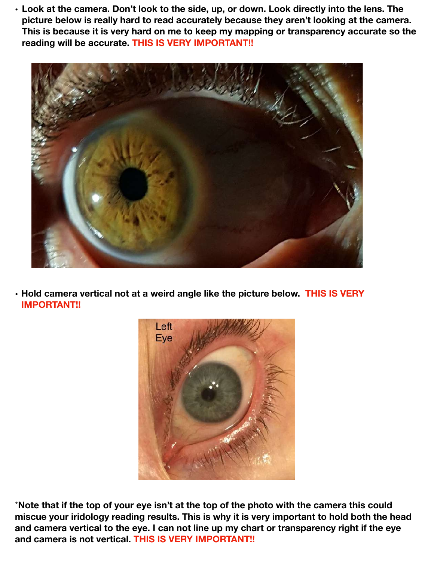**• Look at the camera. Don't look to the side, up, or down. Look directly into the lens. The picture below is really hard to read accurately because they aren't looking at the camera. This is because it is very hard on me to keep my mapping or transparency accurate so the reading will be accurate. THIS IS VERY IMPORTANT!!**



**• Hold camera vertical not at a weird angle like the picture below. THIS IS VERY IMPORTANT!!**



\***Note that if the top of your eye isn't at the top of the photo with the camera this could miscue your iridology reading results. This is why it is very important to hold both the head and camera vertical to the eye. I can not line up my chart or transparency right if the eye and camera is not vertical. THIS IS VERY IMPORTANT!!**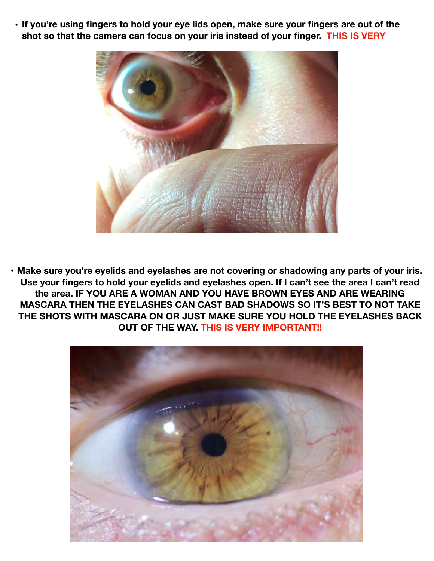• **If you're using fingers to hold your eye lids open, make sure your fingers are out of the shot so that the camera can focus on your iris instead of your finger. THIS IS VERY** 



• **Make sure you're eyelids and eyelashes are not covering or shadowing any parts of your iris. Use your fingers to hold your eyelids and eyelashes open. If I can't see the area I can't read the area. IF YOU ARE A WOMAN AND YOU HAVE BROWN EYES AND ARE WEARING MASCARA THEN THE EYELASHES CAN CAST BAD SHADOWS SO IT'S BEST TO NOT TAKE THE SHOTS WITH MASCARA ON OR JUST MAKE SURE YOU HOLD THE EYELASHES BACK OUT OF THE WAY. THIS IS VERY IMPORTANT!!**

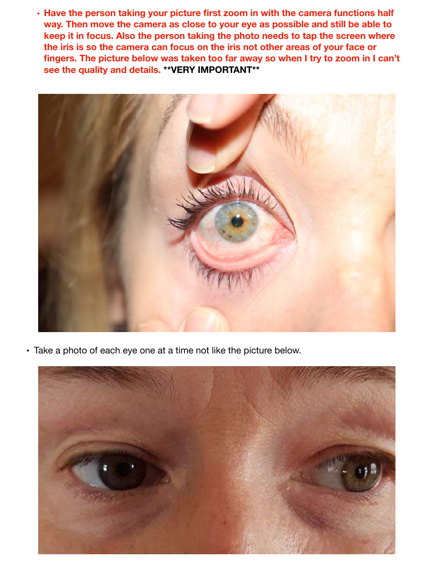**• Have the person taking your picture first zoom in with the camera functions half way. Then move the camera as close to your eye as possible and still be able to keep it in focus. Also the person taking the photo needs to tap the screen where the iris is so the camera can focus on the iris not other areas of your face or fingers. The picture below was taken too far away so when I try to zoom in I can't see the quality and details. \*\*VERY IMPORTANT\*\***



• Take a photo of each eye one at a time not like the picture below.

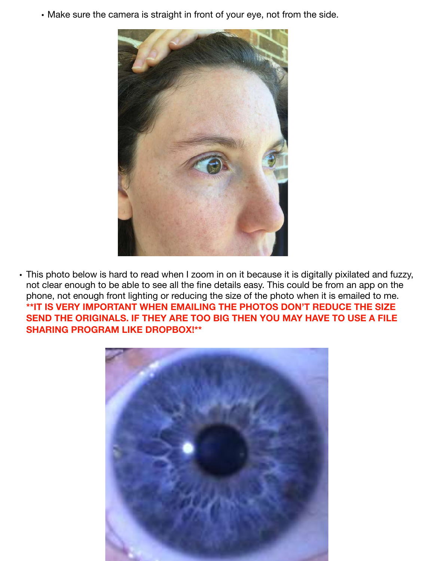• Make sure the camera is straight in front of your eye, not from the side.



• This photo below is hard to read when I zoom in on it because it is digitally pixilated and fuzzy, not clear enough to be able to see all the fine details easy. This could be from an app on the phone, not enough front lighting or reducing the size of the photo when it is emailed to me. **\*\*IT IS VERY IMPORTANT WHEN EMAILING THE PHOTOS DON'T REDUCE THE SIZE SEND THE ORIGINALS. IF THEY ARE TOO BIG THEN YOU MAY HAVE TO USE A FILE SHARING PROGRAM LIKE DROPBOX!\*\*** 

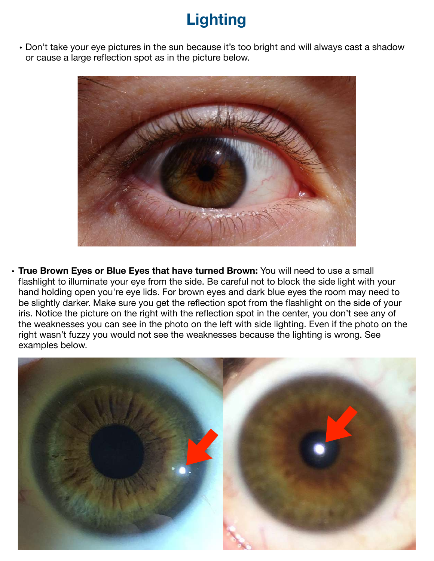# **Lighting**

• Don't take your eye pictures in the sun because it's too bright and will always cast a shadow or cause a large reflection spot as in the picture below.



• **True Brown Eyes or Blue Eyes that have turned Brown:** You will need to use a small flashlight to illuminate your eye from the side. Be careful not to block the side light with your hand holding open you're eye lids. For brown eyes and dark blue eyes the room may need to be slightly darker. Make sure you get the reflection spot from the flashlight on the side of your iris. Notice the picture on the right with the reflection spot in the center, you don't see any of the weaknesses you can see in the photo on the left with side lighting. Even if the photo on the right wasn't fuzzy you would not see the weaknesses because the lighting is wrong. See examples below.

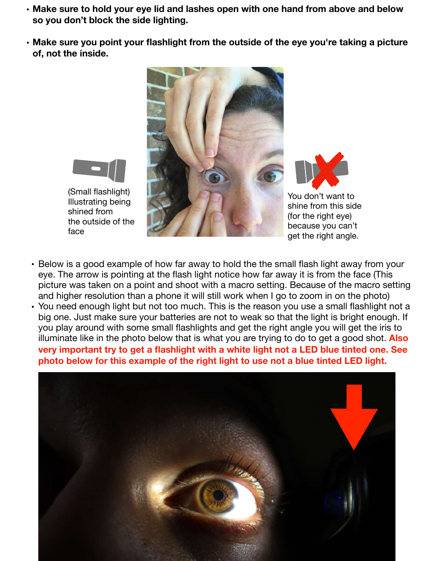- **• Make sure to hold your eye lid and lashes open with one hand from above and below so you don't block the side lighting.**
- **• Make sure you point your flashlight from the outside of the eye you're taking a picture of, not the inside.**



You don't want to

shine from this side (for the right eye) because you can't get the right angle.

- (Small flashlight) Illustrating being shined from the outside of the face
- Below is a good example of how far away to hold the the small flash light away from your eye. The arrow is pointing at the flash light notice how far away it is from the face (This picture was taken on a point and shoot with a macro setting. Because of the macro setting and higher resolution than a phone it will still work when I go to zoom in on the photo)
- You need enough light but not too much. This is the reason you use a small flashlight not a big one. Just make sure your batteries are not to weak so that the light is bright enough. If you play around with some small flashlights and get the right angle you will get the iris to illuminate like in the photo below that is what you are trying to do to get a good shot. **Also very important try to get a flashlight with a white light not a LED blue tinted one. See photo below for this example of the right light to use not a blue tinted LED light.**

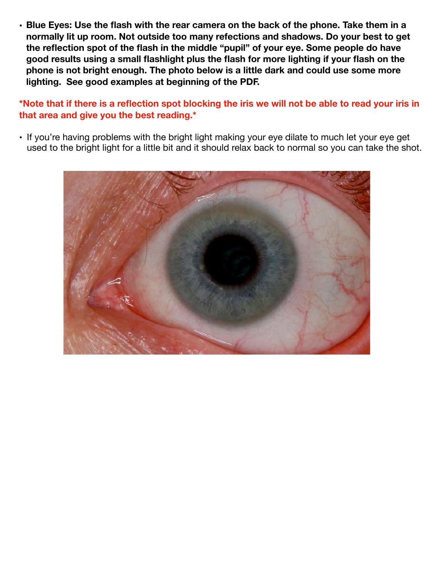• **Blue Eyes: Use the flash with the rear camera on the back of the phone. Take them in a normally lit up room. Not outside too many refections and shadows. Do your best to get the reflection spot of the flash in the middle "pupil" of your eye. Some people do have good results using a small flashlight plus the flash for more lighting if your flash on the phone is not bright enough. The photo below is a little dark and could use some more lighting. See good examples at beginning of the PDF.** 

**\*Note that if there is a reflection spot blocking the iris we will not be able to read your iris in that area and give you the best reading.\*** 

• If you're having problems with the bright light making your eye dilate to much let your eye get used to the bright light for a little bit and it should relax back to normal so you can take the shot.

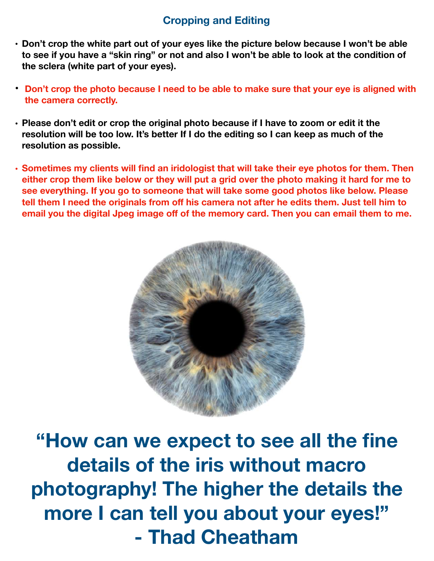## **Cropping and Editing**

- **• Don't crop the white part out of your eyes like the picture below because I won't be able to see if you have a "skin ring" or not and also I won't be able to look at the condition of the sclera (white part of your eyes).**
- **• Don't crop the photo because I need to be able to make sure that your eye is aligned with the camera correctly.**
- **• Please don't edit or crop the original photo because if I have to zoom or edit it the resolution will be too low. It's better If I do the editing so I can keep as much of the resolution as possible.**
- **• Sometimes my clients will find an iridologist that will take their eye photos for them. Then either crop them like below or they will put a grid over the photo making it hard for me to see everything. If you go to someone that will take some good photos like below. Please tell them I need the originals from off his camera not after he edits them. Just tell him to email you the digital Jpeg image off of the memory card. Then you can email them to me.**



**"How can we expect to see all the fine details of the iris without macro photography! The higher the details the more I can tell you about your eyes!" - Thad Cheatham**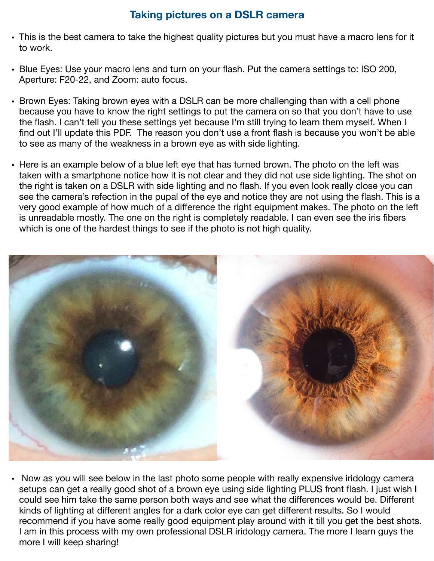### **Taking pictures on a DSLR camera**

- This is the best camera to take the highest quality pictures but you must have a macro lens for it to work.
- Blue Eyes: Use your macro lens and turn on your flash. Put the camera settings to: ISO 200, Aperture: F20-22, and Zoom: auto focus.
- Brown Eyes: Taking brown eyes with a DSLR can be more challenging than with a cell phone because you have to know the right settings to put the camera on so that you don't have to use the flash. I can't tell you these settings yet because I'm still trying to learn them myself. When I find out I'll update this PDF. The reason you don't use a front flash is because you won't be able to see as many of the weakness in a brown eye as with side lighting.
- Here is an example below of a blue left eye that has turned brown. The photo on the left was taken with a smartphone notice how it is not clear and they did not use side lighting. The shot on the right is taken on a DSLR with side lighting and no flash. If you even look really close you can see the camera's refection in the pupal of the eye and notice they are not using the flash. This is a very good example of how much of a difference the right equipment makes. The photo on the left is unreadable mostly. The one on the right is completely readable. I can even see the iris fibers which is one of the hardest things to see if the photo is not high quality.



• Now as you will see below in the last photo some people with really expensive iridology camera setups can get a really good shot of a brown eye using side lighting PLUS front flash. I just wish I could see him take the same person both ways and see what the differences would be. Different kinds of lighting at different angles for a dark color eye can get different results. So I would recommend if you have some really good equipment play around with it till you get the best shots. I am in this process with my own professional DSLR iridology camera. The more I learn guys the more I will keep sharing!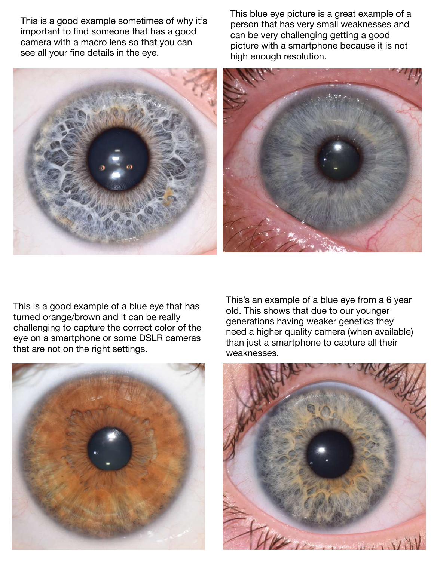This is a good example sometimes of why it's important to find someone that has a good camera with a macro lens so that you can see all your fine details in the eye.

This blue eye picture is a great example of a person that has very small weaknesses and can be very challenging getting a good picture with a smartphone because it is not high enough resolution.



This is a good example of a blue eye that has turned orange/brown and it can be really challenging to capture the correct color of the eye on a smartphone or some DSLR cameras that are not on the right settings.



This's an example of a blue eye from a 6 year old. This shows that due to our younger generations having weaker genetics they need a higher quality camera (when available) than just a smartphone to capture all their weaknesses.

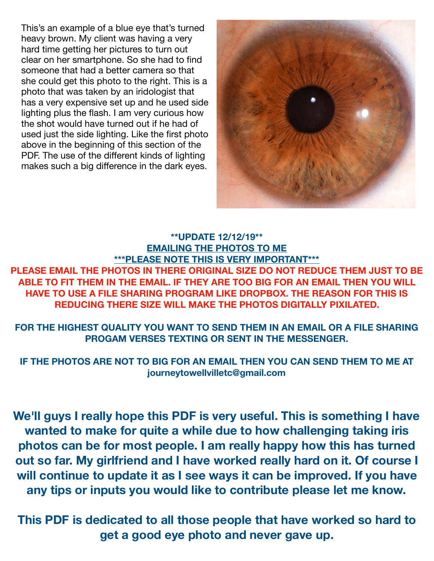This's an example of a blue eye that's turned heavy brown. My client was having a very hard time getting her pictures to turn out clear on her smartphone. So she had to find someone that had a better camera so that she could get this photo to the right. This is a photo that was taken by an iridologist that has a very expensive set up and he used side lighting plus the flash. I am very curious how the shot would have turned out if he had of used just the side lighting. Like the first photo above in the beginning of this section of the PDF. The use of the different kinds of lighting makes such a big difference in the dark eyes.



#### **\*\*UPDATE 12/12/19\*\* EMAILING THE PHOTOS TO ME \*\*\*PLEASE NOTE THIS IS VERY IMPORTANT\*\*\***

**PLEASE EMAIL THE PHOTOS IN THERE ORIGINAL SIZE DO NOT REDUCE THEM JUST TO BE ABLE TO FIT THEM IN THE EMAIL. IF THEY ARE TOO BIG FOR AN EMAIL THEN YOU WILL HAVE TO USE A FILE SHARING PROGRAM LIKE DROPBOX. THE REASON FOR THIS IS REDUCING THERE SIZE WILL MAKE THE PHOTOS DIGITALLY PIXILATED.** 

**FOR THE HIGHEST QUALITY YOU WANT TO SEND THEM IN AN EMAIL OR A FILE SHARING PROGAM VERSES TEXTING OR SENT IN THE MESSENGER.** 

**IF THE PHOTOS ARE NOT TO BIG FOR AN EMAIL THEN YOU CAN SEND THEM TO ME AT journeytowellvilletc@gmail.com** 

**We'll guys I really hope this PDF is very useful. This is something I have wanted to make for quite a while due to how challenging taking iris photos can be for most people. I am really happy how this has turned out so far. My girlfriend and I have worked really hard on it. Of course I will continue to update it as I see ways it can be improved. If you have any tips or inputs you would like to contribute please let me know.** 

**This PDF is dedicated to all those people that have worked so hard to get a good eye photo and never gave up.**